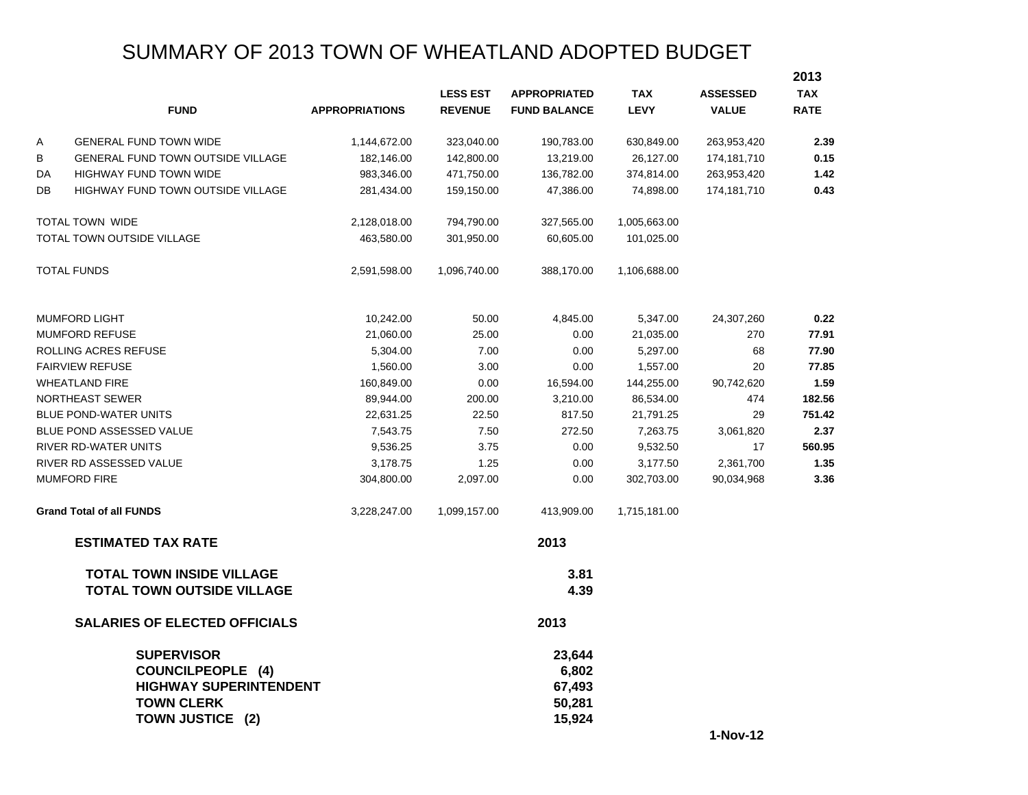# SUMMARY OF 2013 TOWN OF WHEATLAND ADOPTED BUDGET

|    |                                                                                                                         |                       |                 |                                               |              |                 | 2013        |
|----|-------------------------------------------------------------------------------------------------------------------------|-----------------------|-----------------|-----------------------------------------------|--------------|-----------------|-------------|
|    |                                                                                                                         |                       | <b>LESS EST</b> | <b>APPROPRIATED</b>                           | <b>TAX</b>   | <b>ASSESSED</b> | <b>TAX</b>  |
|    | <b>FUND</b>                                                                                                             | <b>APPROPRIATIONS</b> | <b>REVENUE</b>  | <b>FUND BALANCE</b>                           | <b>LEVY</b>  | <b>VALUE</b>    | <b>RATE</b> |
| Α  | <b>GENERAL FUND TOWN WIDE</b>                                                                                           | 1,144,672.00          | 323,040.00      | 190,783.00                                    | 630,849.00   | 263,953,420     | 2.39        |
| В  | GENERAL FUND TOWN OUTSIDE VILLAGE                                                                                       | 182,146.00            | 142,800.00      | 13,219.00                                     | 26,127.00    | 174,181,710     | 0.15        |
| DA | HIGHWAY FUND TOWN WIDE                                                                                                  | 983,346.00            | 471,750.00      | 136,782.00                                    | 374,814.00   | 263,953,420     | 1.42        |
| DB | <b>HIGHWAY FUND TOWN OUTSIDE VILLAGE</b>                                                                                | 281,434.00            | 159,150.00      | 47,386.00                                     | 74,898.00    | 174,181,710     | 0.43        |
|    | TOTAL TOWN WIDE                                                                                                         | 2,128,018.00          | 794,790.00      | 327,565.00                                    | 1,005,663.00 |                 |             |
|    | TOTAL TOWN OUTSIDE VILLAGE                                                                                              | 463,580.00            | 301,950.00      | 60,605.00                                     | 101,025.00   |                 |             |
|    | <b>TOTAL FUNDS</b>                                                                                                      | 2,591,598.00          | 1,096,740.00    | 388,170.00                                    | 1,106,688.00 |                 |             |
|    | <b>MUMFORD LIGHT</b>                                                                                                    | 10,242.00             | 50.00           | 4,845.00                                      | 5,347.00     | 24,307,260      | 0.22        |
|    | <b>MUMFORD REFUSE</b>                                                                                                   | 21,060.00             | 25.00           | 0.00                                          | 21,035.00    | 270             | 77.91       |
|    | ROLLING ACRES REFUSE                                                                                                    | 5,304.00              | 7.00            | 0.00                                          | 5,297.00     | 68              | 77.90       |
|    | <b>FAIRVIEW REFUSE</b>                                                                                                  | 1,560.00              | 3.00            | 0.00                                          | 1,557.00     | 20              | 77.85       |
|    | <b>WHEATLAND FIRE</b>                                                                                                   | 160,849.00            | 0.00            | 16,594.00                                     | 144,255.00   | 90,742,620      | 1.59        |
|    | NORTHEAST SEWER                                                                                                         | 89,944.00             | 200.00          | 3,210.00                                      | 86,534.00    | 474             | 182.56      |
|    | <b>BLUE POND-WATER UNITS</b>                                                                                            | 22,631.25             | 22.50           | 817.50                                        | 21,791.25    | 29              | 751.42      |
|    | BLUE POND ASSESSED VALUE                                                                                                | 7,543.75              | 7.50            | 272.50                                        | 7,263.75     | 3,061,820       | 2.37        |
|    | RIVER RD-WATER UNITS                                                                                                    | 9,536.25              | 3.75            | 0.00                                          | 9,532.50     | 17              | 560.95      |
|    | RIVER RD ASSESSED VALUE                                                                                                 | 3,178.75              | 1.25            | 0.00                                          | 3,177.50     | 2,361,700       | 1.35        |
|    | <b>MUMFORD FIRE</b>                                                                                                     | 304,800.00            | 2,097.00        | 0.00                                          | 302,703.00   | 90,034,968      | 3.36        |
|    | <b>Grand Total of all FUNDS</b>                                                                                         | 3,228,247.00          | 1,099,157.00    | 413,909.00                                    | 1,715,181.00 |                 |             |
|    | <b>ESTIMATED TAX RATE</b>                                                                                               |                       |                 | 2013                                          |              |                 |             |
|    | <b>TOTAL TOWN INSIDE VILLAGE</b><br><b>TOTAL TOWN OUTSIDE VILLAGE</b>                                                   |                       |                 | 3.81<br>4.39                                  |              |                 |             |
|    | <b>SALARIES OF ELECTED OFFICIALS</b>                                                                                    |                       |                 | 2013                                          |              |                 |             |
|    | <b>SUPERVISOR</b><br><b>COUNCILPEOPLE (4)</b><br><b>HIGHWAY SUPERINTENDENT</b><br><b>TOWN CLERK</b><br>TOWN JUSTICE (2) |                       |                 | 23,644<br>6,802<br>67,493<br>50,281<br>15,924 |              |                 |             |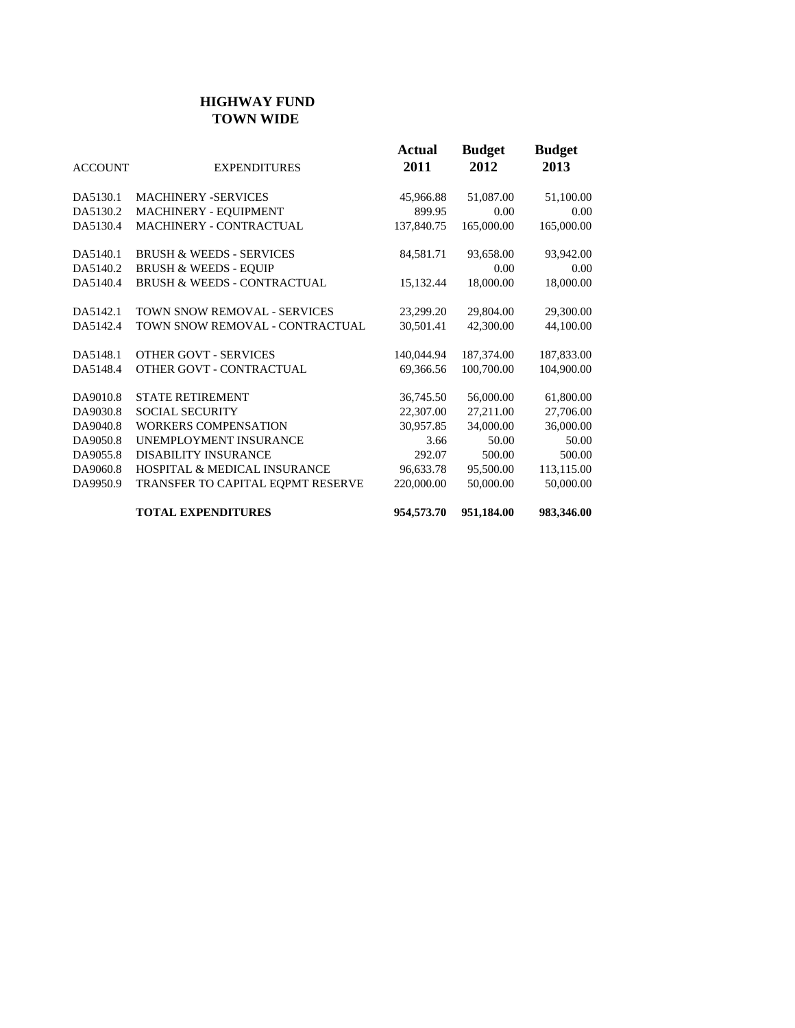#### **HIGHWAY FUND TOWN WIDE**

| <b>ACCOUNT</b> | <b>EXPENDITURES</b>                     | Actual<br>2011 | <b>Budget</b><br>2012 | <b>Budget</b><br>2013 |
|----------------|-----------------------------------------|----------------|-----------------------|-----------------------|
| DA5130.1       | <b>MACHINERY -SERVICES</b>              | 45,966.88      | 51,087.00             | 51,100.00             |
| DA5130.2       | MACHINERY - EQUIPMENT                   | 899.95         | 0.00                  | 0.00                  |
| DA5130.4       | <b>MACHINERY - CONTRACTUAL</b>          | 137,840.75     | 165,000.00            | 165,000.00            |
| DA5140.1       | <b>BRUSH &amp; WEEDS - SERVICES</b>     | 84,581.71      | 93,658.00             | 93,942.00             |
| DA5140.2       | <b>BRUSH &amp; WEEDS - EQUIP</b>        |                | 0.00                  | 0.00                  |
| DA5140.4       | <b>BRUSH &amp; WEEDS - CONTRACTUAL</b>  | 15,132.44      | 18,000.00             | 18,000.00             |
| DA5142.1       | TOWN SNOW REMOVAL - SERVICES            | 23,299.20      | 29,804.00             | 29,300.00             |
| DA5142.4       | TOWN SNOW REMOVAL - CONTRACTUAL         | 30.501.41      | 42,300.00             | 44,100.00             |
| DA5148.1       | OTHER GOVT - SERVICES                   | 140,044.94     | 187,374.00            | 187,833.00            |
| DA5148.4       | OTHER GOVT - CONTRACTUAL                | 69,366.56      | 100,700.00            | 104,900.00            |
| DA9010.8       | <b>STATE RETIREMENT</b>                 | 36,745.50      | 56,000.00             | 61,800.00             |
| DA9030.8       | SOCIAL SECURITY                         | 22,307.00      | 27,211.00             | 27,706.00             |
| DA9040.8       | WORKERS COMPENSATION                    | 30,957.85      | 34,000.00             | 36,000.00             |
| DA9050.8       | UNEMPLOYMENT INSURANCE                  | 3.66           | 50.00                 | 50.00                 |
| DA9055.8       | <b>DISABILITY INSURANCE</b>             | 292.07         | 500.00                | 500.00                |
| DA9060.8       | <b>HOSPITAL &amp; MEDICAL INSURANCE</b> | 96,633.78      | 95,500.00             | 113,115.00            |
| DA9950.9       | TRANSFER TO CAPITAL EQPMT RESERVE       | 220,000.00     | 50,000.00             | 50,000.00             |
|                | <b>TOTAL EXPENDITURES</b>               | 954,573.70     | 951,184.00            | 983,346.00            |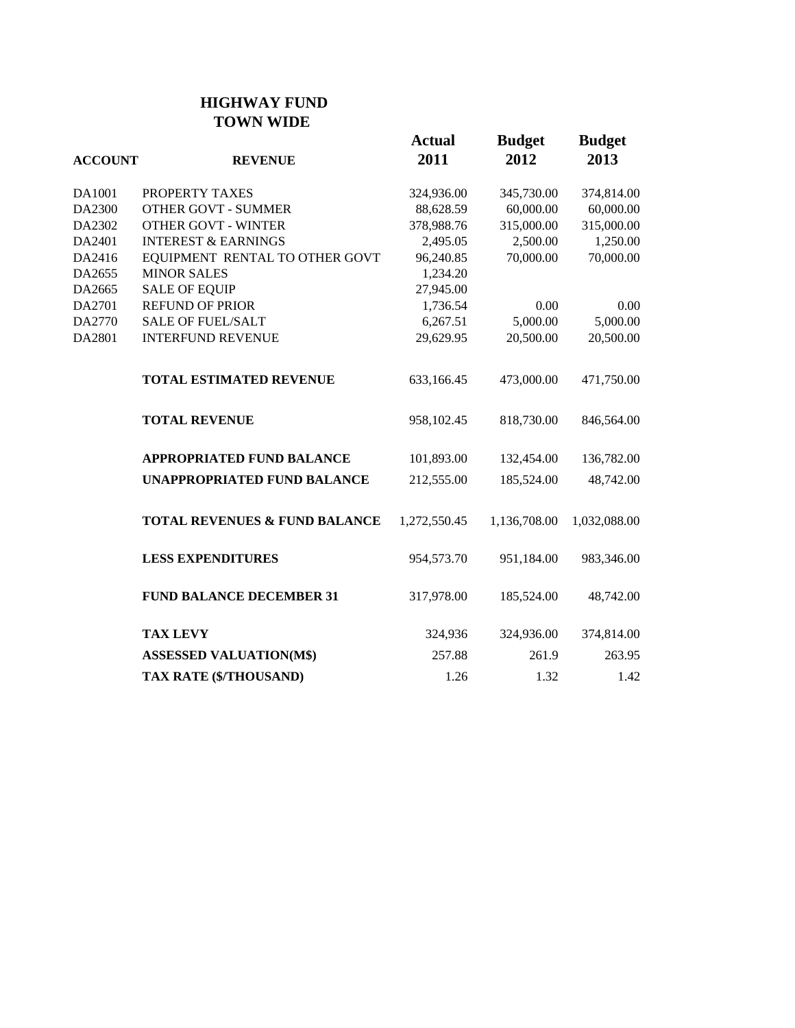# **HIGHWAY FUND TOWN WIDE**

| <b>ACCOUNT</b> | <b>REVENUE</b>                           | <b>Actual</b><br>2011 | <b>Budget</b><br>2012 | <b>Budget</b><br>2013 |
|----------------|------------------------------------------|-----------------------|-----------------------|-----------------------|
| DA1001         | PROPERTY TAXES                           | 324,936.00            | 345,730.00            | 374,814.00            |
| DA2300         | <b>OTHER GOVT - SUMMER</b>               | 88,628.59             | 60,000.00             | 60,000.00             |
| DA2302         | <b>OTHER GOVT - WINTER</b>               | 378,988.76            | 315,000.00            | 315,000.00            |
| DA2401         | <b>INTEREST &amp; EARNINGS</b>           | 2,495.05              | 2,500.00              | 1,250.00              |
| DA2416         | EQUIPMENT RENTAL TO OTHER GOVT           | 96,240.85             | 70,000.00             | 70,000.00             |
| DA2655         | <b>MINOR SALES</b>                       | 1,234.20              |                       |                       |
| DA2665         | <b>SALE OF EQUIP</b>                     | 27,945.00             |                       |                       |
| DA2701         | <b>REFUND OF PRIOR</b>                   | 1,736.54              | $0.00\,$              | 0.00                  |
| DA2770         | <b>SALE OF FUEL/SALT</b>                 | 6,267.51              | 5,000.00              | 5,000.00              |
| DA2801         | <b>INTERFUND REVENUE</b>                 | 29,629.95             | 20,500.00             | 20,500.00             |
|                | <b>TOTAL ESTIMATED REVENUE</b>           | 633,166.45            | 473,000.00            | 471,750.00            |
|                | <b>TOTAL REVENUE</b>                     | 958,102.45            | 818,730.00            | 846,564.00            |
|                | <b>APPROPRIATED FUND BALANCE</b>         | 101,893.00            | 132,454.00            | 136,782.00            |
|                | <b>UNAPPROPRIATED FUND BALANCE</b>       | 212,555.00            | 185,524.00            | 48,742.00             |
|                | <b>TOTAL REVENUES &amp; FUND BALANCE</b> | 1,272,550.45          | 1,136,708.00          | 1,032,088.00          |
|                | <b>LESS EXPENDITURES</b>                 | 954,573.70            | 951,184.00            | 983,346.00            |
|                | <b>FUND BALANCE DECEMBER 31</b>          | 317,978.00            | 185,524.00            | 48,742.00             |
|                | <b>TAX LEVY</b>                          | 324,936               | 324,936.00            | 374,814.00            |
|                | <b>ASSESSED VALUATION(M\$)</b>           | 257.88                | 261.9                 | 263.95                |
|                | TAX RATE (\$/THOUSAND)                   | 1.26                  | 1.32                  | 1.42                  |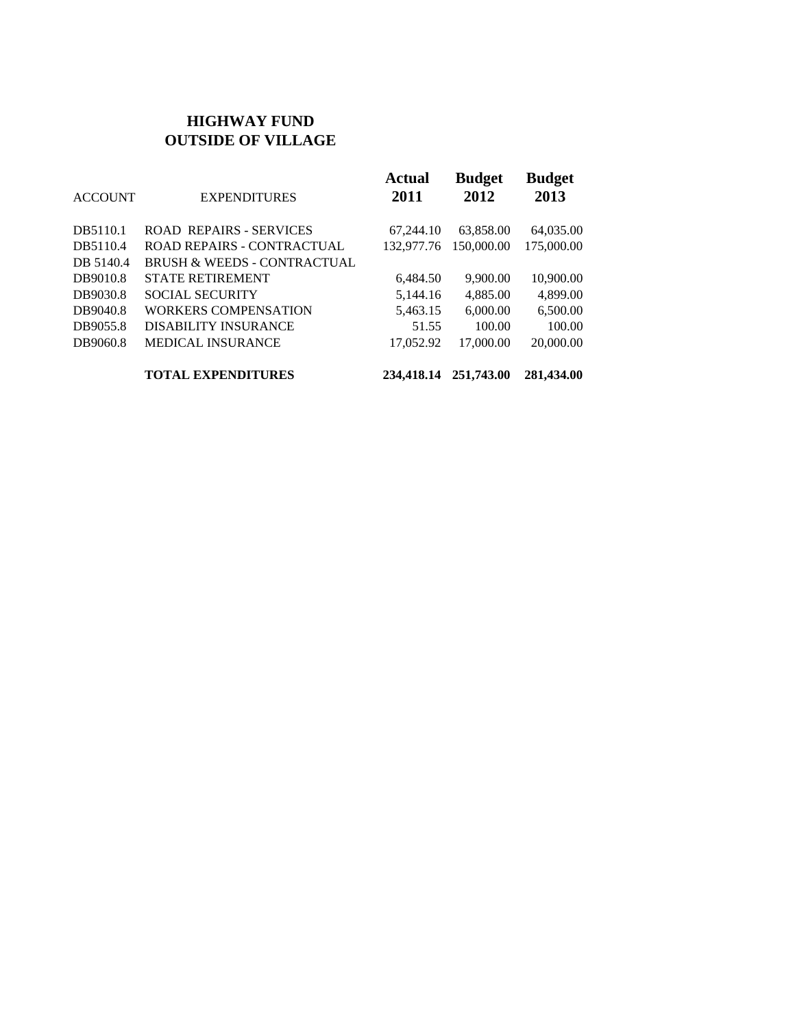#### **HIGHWAY FUND OUTSIDE OF VILLAGE**

| <b>ACCOUNT</b> | <b>EXPENDITURES</b>                    | <b>Actual</b><br>2011 | <b>Budget</b><br>2012 | <b>Budget</b><br>2013 |
|----------------|----------------------------------------|-----------------------|-----------------------|-----------------------|
| DB5110.1       | <b>ROAD REPAIRS - SERVICES</b>         | 67,244.10             | 63,858.00             | 64,035.00             |
| DB5110.4       | <b>ROAD REPAIRS - CONTRACTUAL</b>      | 132,977.76            | 150,000.00            | 175,000.00            |
| DB 5140.4      | <b>BRUSH &amp; WEEDS - CONTRACTUAL</b> |                       |                       |                       |
| DB9010.8       | <b>STATE RETIREMENT</b>                | 6,484.50              | 9,900.00              | 10,900.00             |
| DB9030.8       | <b>SOCIAL SECURITY</b>                 | 5,144.16              | 4,885.00              | 4,899.00              |
| DB9040.8       | <b>WORKERS COMPENSATION</b>            | 5,463.15              | 6,000.00              | 6,500.00              |
| DB9055.8       | <b>DISABILITY INSURANCE</b>            | 51.55                 | 100.00                | 100.00                |
| DB9060.8       | <b>MEDICAL INSURANCE</b>               | 17,052.92             | 17,000.00             | 20,000.00             |
|                | <b>TOTAL EXPENDITURES</b>              | 234,418.14            | 251,743.00            | 281,434.00            |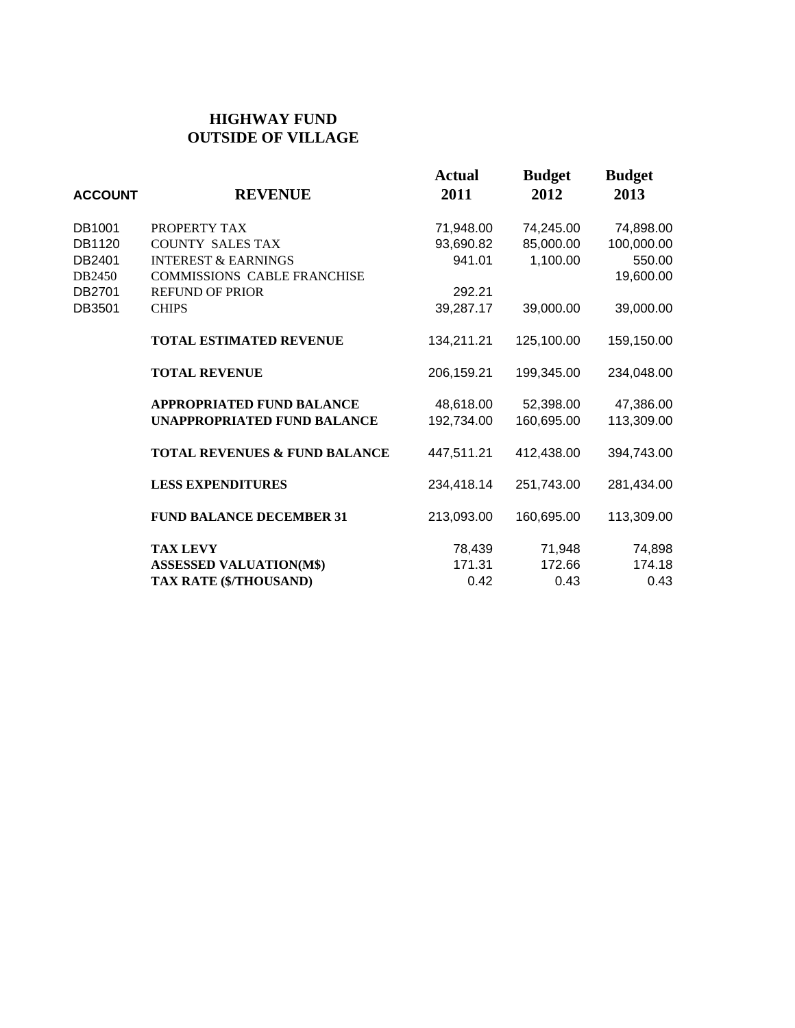## **HIGHWAY FUND OUTSIDE OF VILLAGE**

| <b>ACCOUNT</b> | <b>REVENUE</b>                           | <b>Actual</b><br>2011 | <b>Budget</b><br>2012 | <b>Budget</b><br>2013 |
|----------------|------------------------------------------|-----------------------|-----------------------|-----------------------|
| DB1001         | PROPERTY TAX                             | 71,948.00             | 74,245.00             | 74,898.00             |
| DB1120         | <b>COUNTY SALES TAX</b>                  | 93,690.82             | 85,000.00             | 100,000.00            |
| DB2401         | <b>INTEREST &amp; EARNINGS</b>           | 941.01                | 1,100.00              | 550.00                |
| DB2450         | <b>COMMISSIONS CABLE FRANCHISE</b>       |                       |                       | 19,600.00             |
| DB2701         | <b>REFUND OF PRIOR</b>                   | 292.21                |                       |                       |
| DB3501         | <b>CHIPS</b>                             | 39,287.17             | 39,000.00             | 39,000.00             |
|                | <b>TOTAL ESTIMATED REVENUE</b>           | 134,211.21            | 125,100.00            | 159,150.00            |
|                | <b>TOTAL REVENUE</b>                     | 206,159.21            | 199,345.00            | 234,048.00            |
|                | <b>APPROPRIATED FUND BALANCE</b>         | 48,618.00             | 52,398.00             | 47,386.00             |
|                | UNAPPROPRIATED FUND BALANCE              | 192,734.00            | 160,695.00            | 113,309.00            |
|                | <b>TOTAL REVENUES &amp; FUND BALANCE</b> | 447,511.21            | 412,438.00            | 394,743.00            |
|                | <b>LESS EXPENDITURES</b>                 | 234,418.14            | 251,743.00            | 281,434.00            |
|                | <b>FUND BALANCE DECEMBER 31</b>          | 213,093.00            | 160,695.00            | 113,309.00            |
|                | <b>TAX LEVY</b>                          | 78,439                | 71,948                | 74,898                |
|                | <b>ASSESSED VALUATION(M\$)</b>           | 171.31                | 172.66                | 174.18                |
|                | TAX RATE (\$/THOUSAND)                   | 0.42                  | 0.43                  | 0.43                  |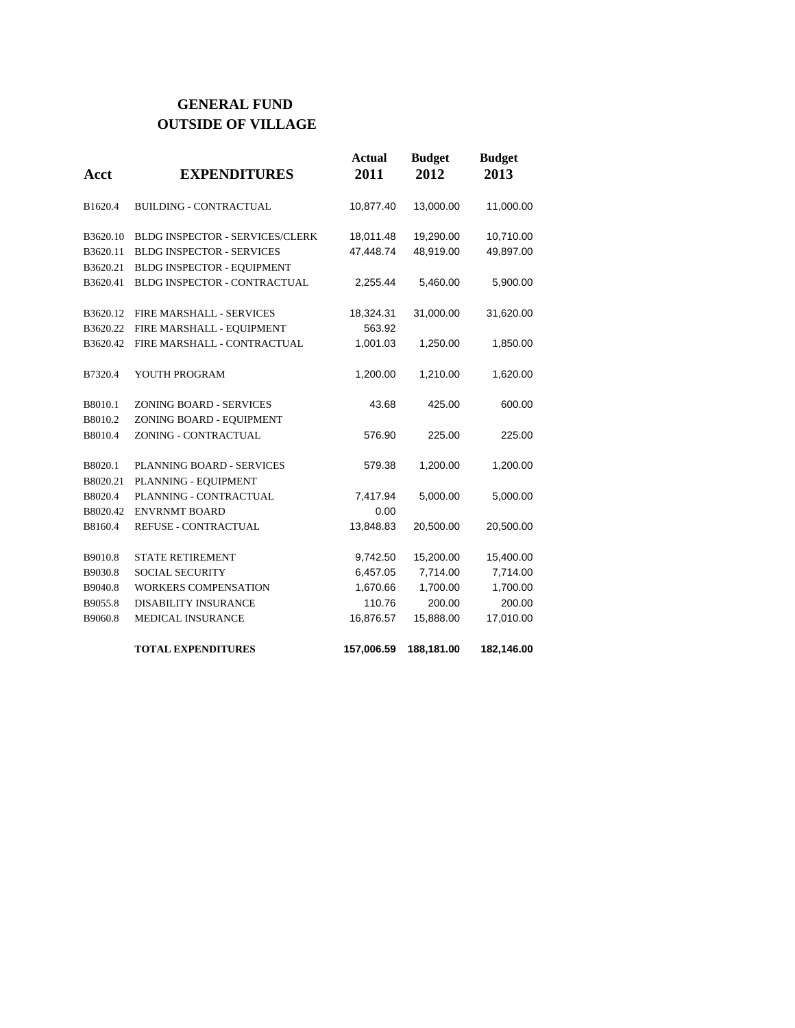### **GENERAL FUND OUTSIDE OF VILLAGE**

| Acct     | <b>EXPENDITURES</b>              | <b>Actual</b><br>2011 | <b>Budget</b><br>2012 | <b>Budget</b><br>2013 |
|----------|----------------------------------|-----------------------|-----------------------|-----------------------|
| B1620.4  | <b>BUILDING - CONTRACTUAL</b>    | 10,877.40             | 13,000.00             | 11,000.00             |
| B3620.10 | BLDG INSPECTOR - SERVICES/CLERK  | 18,011.48             | 19,290.00             | 10,710.00             |
| B3620.11 | <b>BLDG INSPECTOR - SERVICES</b> | 47,448.74             | 48,919.00             | 49,897.00             |
| B3620.21 | BLDG INSPECTOR - EQUIPMENT       |                       |                       |                       |
| B3620.41 | BLDG INSPECTOR - CONTRACTUAL     | 2,255.44              | 5,460.00              | 5,900.00              |
| B3620.12 | FIRE MARSHALL - SERVICES         | 18,324.31             | 31,000.00             | 31,620.00             |
| B3620.22 | FIRE MARSHALL - EQUIPMENT        | 563.92                |                       |                       |
| B3620.42 | FIRE MARSHALL - CONTRACTUAL      | 1,001.03              | 1,250.00              | 1,850.00              |
| B7320.4  | YOUTH PROGRAM                    | 1,200.00              | 1,210.00              | 1,620.00              |
| B8010.1  | ZONING BOARD - SERVICES          | 43.68                 | 425.00                | 600.00                |
| B8010.2  | ZONING BOARD - EQUIPMENT         |                       |                       |                       |
| B8010.4  | ZONING - CONTRACTUAL             | 576.90                | 225.00                | 225.00                |
| B8020.1  | <b>PLANNING BOARD - SERVICES</b> | 579.38                | 1,200.00              | 1,200.00              |
| B8020.21 | PLANNING - EQUIPMENT             |                       |                       |                       |
| B8020.4  | PLANNING - CONTRACTUAL           | 7,417.94              | 5,000.00              | 5,000.00              |
| B8020.42 | <b>ENVRNMT BOARD</b>             | 0.00                  |                       |                       |
| B8160.4  | <b>REFUSE - CONTRACTUAL</b>      | 13,848.83             | 20,500.00             | 20,500.00             |
| B9010.8  | <b>STATE RETIREMENT</b>          | 9,742.50              | 15,200.00             | 15,400.00             |
| B9030.8  | <b>SOCIAL SECURITY</b>           | 6,457.05              | 7,714.00              | 7,714.00              |
| B9040.8  | <b>WORKERS COMPENSATION</b>      | 1,670.66              | 1,700.00              | 1,700.00              |
| B9055.8  | <b>DISABILITY INSURANCE</b>      | 110.76                | 200.00                | 200.00                |
| B9060.8  | MEDICAL INSURANCE                | 16,876.57             | 15,888.00             | 17,010.00             |
|          | <b>TOTAL EXPENDITURES</b>        | 157,006.59            | 188,181.00            | 182,146.00            |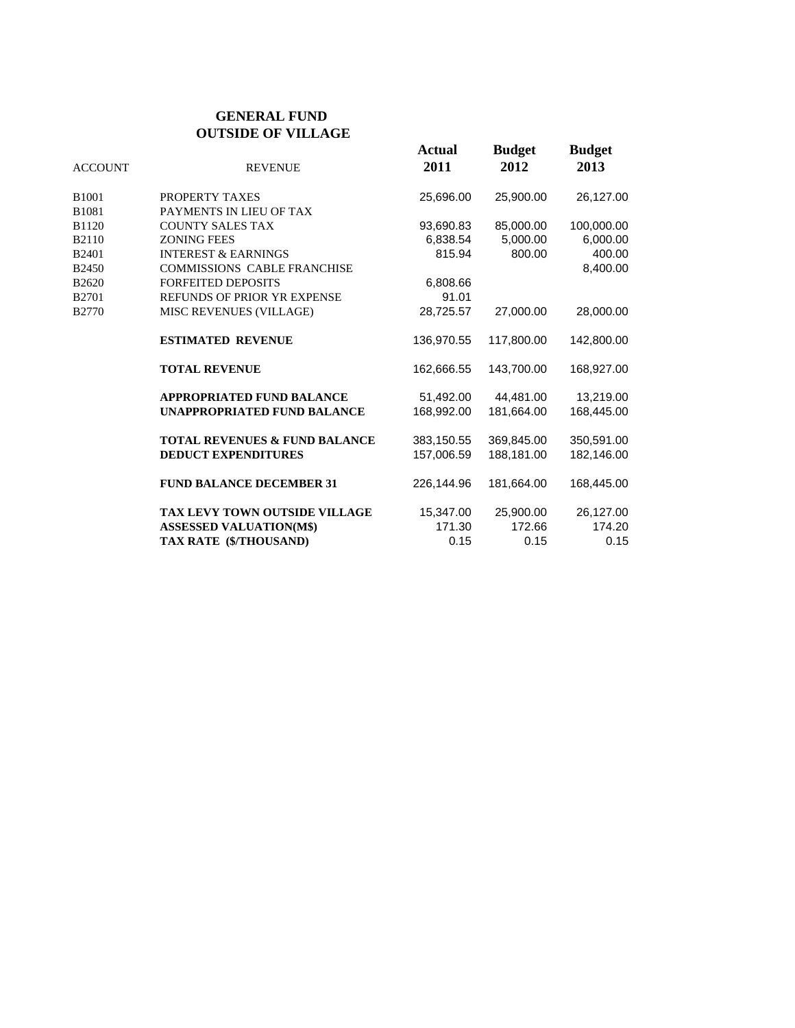#### **GENERAL FUND OUTSIDE OF VILLAGE**

| <b>ACCOUNT</b>    | <b>REVENUE</b>                           | <b>Actual</b><br>2011 | <b>Budget</b><br>2012 | <b>Budget</b><br>2013 |
|-------------------|------------------------------------------|-----------------------|-----------------------|-----------------------|
| B <sub>1001</sub> | PROPERTY TAXES                           | 25,696.00             | 25,900.00             | 26,127.00             |
| B1081             | PAYMENTS IN LIEU OF TAX                  |                       |                       |                       |
| B1120             | <b>COUNTY SALES TAX</b>                  | 93,690.83             | 85,000.00             | 100,000.00            |
| B2110             | <b>ZONING FEES</b>                       | 6,838.54              | 5,000.00              | 6,000.00              |
| B <sub>2401</sub> | <b>INTEREST &amp; EARNINGS</b>           | 815.94                | 800.00                | 400.00                |
| <b>B2450</b>      | COMMISSIONS CABLE FRANCHISE              |                       |                       | 8,400.00              |
| B2620             | <b>FORFEITED DEPOSITS</b>                | 6,808.66              |                       |                       |
| B <sub>2701</sub> | REFUNDS OF PRIOR YR EXPENSE              | 91.01                 |                       |                       |
| B2770             | MISC REVENUES (VILLAGE)                  | 28,725.57             | 27,000.00             | 28,000.00             |
|                   | <b>ESTIMATED REVENUE</b>                 | 136,970.55            | 117.800.00            | 142,800.00            |
|                   | <b>TOTAL REVENUE</b>                     | 162.666.55            | 143.700.00            | 168.927.00            |
|                   | <b>APPROPRIATED FUND BALANCE</b>         | 51,492.00             | 44,481.00             | 13,219.00             |
|                   | <b>UNAPPROPRIATED FUND BALANCE</b>       | 168.992.00            | 181.664.00            | 168,445.00            |
|                   | <b>TOTAL REVENUES &amp; FUND BALANCE</b> | 383,150.55            | 369,845.00            | 350,591.00            |
|                   | <b>DEDUCT EXPENDITURES</b>               | 157,006.59            | 188,181.00            | 182,146.00            |
|                   | <b>FUND BALANCE DECEMBER 31</b>          | 226,144.96            | 181,664.00            | 168,445.00            |
|                   | <b>TAX LEVY TOWN OUTSIDE VILLAGE</b>     | 15,347.00             | 25,900.00             | 26,127.00             |
|                   | <b>ASSESSED VALUATION(M\$)</b>           | 171.30                | 172.66                | 174.20                |
|                   | TAX RATE (\$/THOUSAND)                   | 0.15                  | 0.15                  | 0.15                  |
|                   |                                          |                       |                       |                       |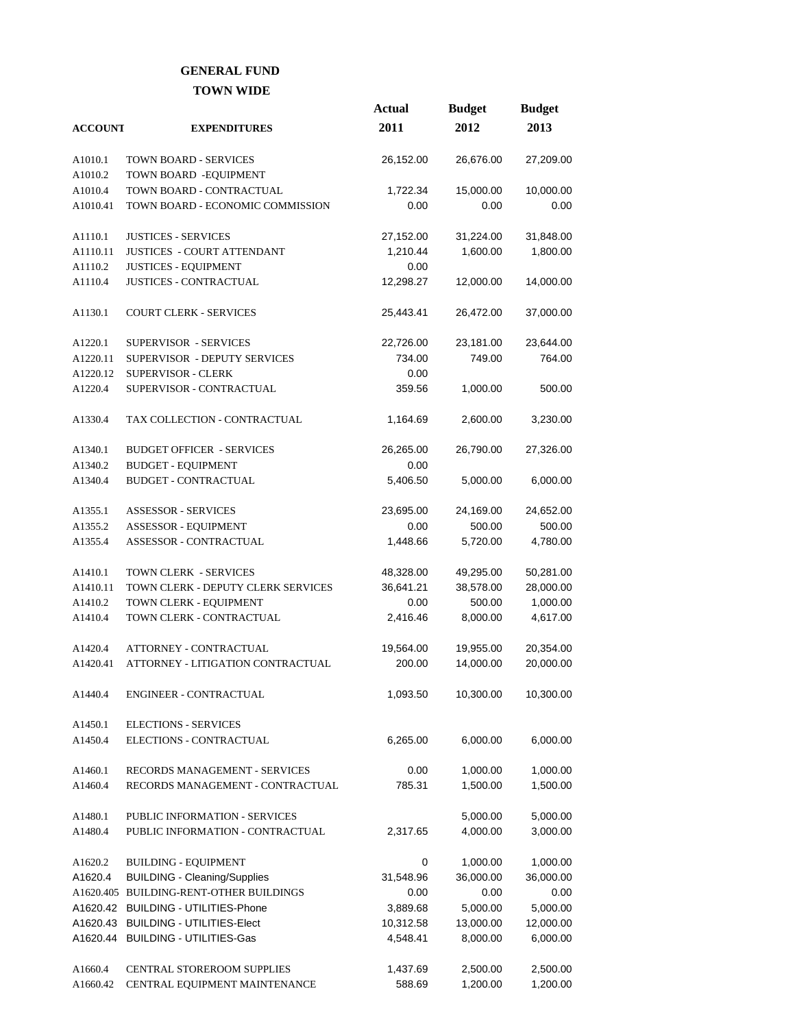#### **GENERAL FUND TOWN WIDE**

|                    |                                                                    | <b>Actual</b> | <b>Budget</b>         | <b>Budget</b>         |
|--------------------|--------------------------------------------------------------------|---------------|-----------------------|-----------------------|
| <b>ACCOUNT</b>     | <b>EXPENDITURES</b>                                                | 2011          | 2012                  | 2013                  |
|                    |                                                                    |               |                       |                       |
| A1010.1            | <b>TOWN BOARD - SERVICES</b>                                       | 26,152.00     | 26,676.00             | 27,209.00             |
| A1010.2            | TOWN BOARD - EQUIPMENT                                             |               |                       |                       |
| A1010.4            | TOWN BOARD - CONTRACTUAL                                           | 1,722.34      | 15,000.00             | 10,000.00             |
| A1010.41           | TOWN BOARD - ECONOMIC COMMISSION                                   | 0.00          | 0.00                  | 0.00                  |
| A1110.1            | <b>JUSTICES - SERVICES</b>                                         | 27,152.00     | 31,224.00             | 31,848.00             |
| A1110.11           | <b>JUSTICES - COURT ATTENDANT</b>                                  | 1,210.44      | 1,600.00              | 1,800.00              |
| A1110.2            | <b>JUSTICES - EQUIPMENT</b>                                        | 0.00          |                       |                       |
| A1110.4            | <b>JUSTICES - CONTRACTUAL</b>                                      | 12,298.27     | 12,000.00             | 14,000.00             |
|                    |                                                                    |               |                       |                       |
| A1130.1            | <b>COURT CLERK - SERVICES</b>                                      | 25,443.41     | 26,472.00             | 37,000.00             |
| A1220.1            | <b>SUPERVISOR - SERVICES</b>                                       | 22,726.00     | 23,181.00             | 23,644.00             |
| A1220.11           | SUPERVISOR - DEPUTY SERVICES                                       | 734.00        | 749.00                | 764.00                |
| A1220.12           | SUPERVISOR - CLERK                                                 | 0.00          |                       |                       |
| A1220.4            | SUPERVISOR - CONTRACTUAL                                           | 359.56        | 1,000.00              | 500.00                |
| A1330.4            | TAX COLLECTION - CONTRACTUAL                                       | 1,164.69      | 2,600.00              | 3,230.00              |
| A1340.1            | <b>BUDGET OFFICER - SERVICES</b>                                   | 26,265.00     | 26,790.00             |                       |
| A1340.2            | <b>BUDGET - EQUIPMENT</b>                                          | 0.00          |                       | 27,326.00             |
| A1340.4            | <b>BUDGET - CONTRACTUAL</b>                                        | 5,406.50      | 5,000.00              | 6,000.00              |
|                    |                                                                    |               |                       |                       |
| A1355.1            | <b>ASSESSOR - SERVICES</b>                                         | 23,695.00     | 24,169.00             | 24,652.00             |
| A1355.2            | ASSESSOR - EQUIPMENT                                               | 0.00          | 500.00                | 500.00                |
| A1355.4            | ASSESSOR - CONTRACTUAL                                             | 1,448.66      | 5,720.00              | 4,780.00              |
| A1410.1            | <b>TOWN CLERK - SERVICES</b>                                       | 48,328.00     | 49,295.00             | 50,281.00             |
| A1410.11           | TOWN CLERK - DEPUTY CLERK SERVICES                                 | 36,641.21     | 38,578.00             | 28,000.00             |
| A1410.2            | TOWN CLERK - EQUIPMENT                                             | 0.00          | 500.00                | 1,000.00              |
| A1410.4            | TOWN CLERK - CONTRACTUAL                                           | 2,416.46      | 8,000.00              | 4,617.00              |
|                    |                                                                    |               |                       |                       |
| A1420.4            | ATTORNEY - CONTRACTUAL                                             | 19,564.00     | 19,955.00             | 20,354.00             |
| A1420.41           | ATTORNEY - LITIGATION CONTRACTUAL                                  | 200.00        | 14,000.00             | 20,000.00             |
| A1440.4            | ENGINEER - CONTRACTUAL                                             | 1,093.50      | 10,300.00             | 10,300.00             |
| A1450.1            | <b>ELECTIONS - SERVICES</b>                                        |               |                       |                       |
| A1450.4            | ELECTIONS - CONTRACTUAL                                            | 6,265.00      | 6,000.00              | 6,000.00              |
|                    |                                                                    |               |                       |                       |
| A1460.1            | RECORDS MANAGEMENT - SERVICES                                      | 0.00          | 1,000.00              | 1,000.00              |
| A1460.4            | RECORDS MANAGEMENT - CONTRACTUAL                                   | 785.31        | 1,500.00              | 1,500.00              |
| A1480.1            | PUBLIC INFORMATION - SERVICES                                      |               | 5,000.00              | 5,000.00              |
| A1480.4            | PUBLIC INFORMATION - CONTRACTUAL                                   | 2,317.65      | 4,000.00              | 3,000.00              |
|                    |                                                                    | 0             |                       |                       |
| A1620.2<br>A1620.4 | <b>BUILDING - EQUIPMENT</b><br><b>BUILDING - Cleaning/Supplies</b> | 31,548.96     | 1,000.00<br>36,000.00 | 1,000.00<br>36,000.00 |
|                    | A1620.405 BUILDING-RENT-OTHER BUILDINGS                            | 0.00          | 0.00                  | 0.00                  |
| A1620.42           | <b>BUILDING - UTILITIES-Phone</b>                                  | 3,889.68      | 5,000.00              | 5,000.00              |
|                    | A1620.43 BUILDING - UTILITIES-Elect                                | 10,312.58     | 13,000.00             | 12,000.00             |
|                    | A1620.44 BUILDING - UTILITIES-Gas                                  | 4,548.41      | 8,000.00              | 6,000.00              |
|                    |                                                                    |               |                       |                       |
| A1660.4            | CENTRAL STOREROOM SUPPLIES                                         | 1,437.69      | 2,500.00              | 2,500.00              |
| A1660.42           | CENTRAL EQUIPMENT MAINTENANCE                                      | 588.69        | 1,200.00              | 1,200.00              |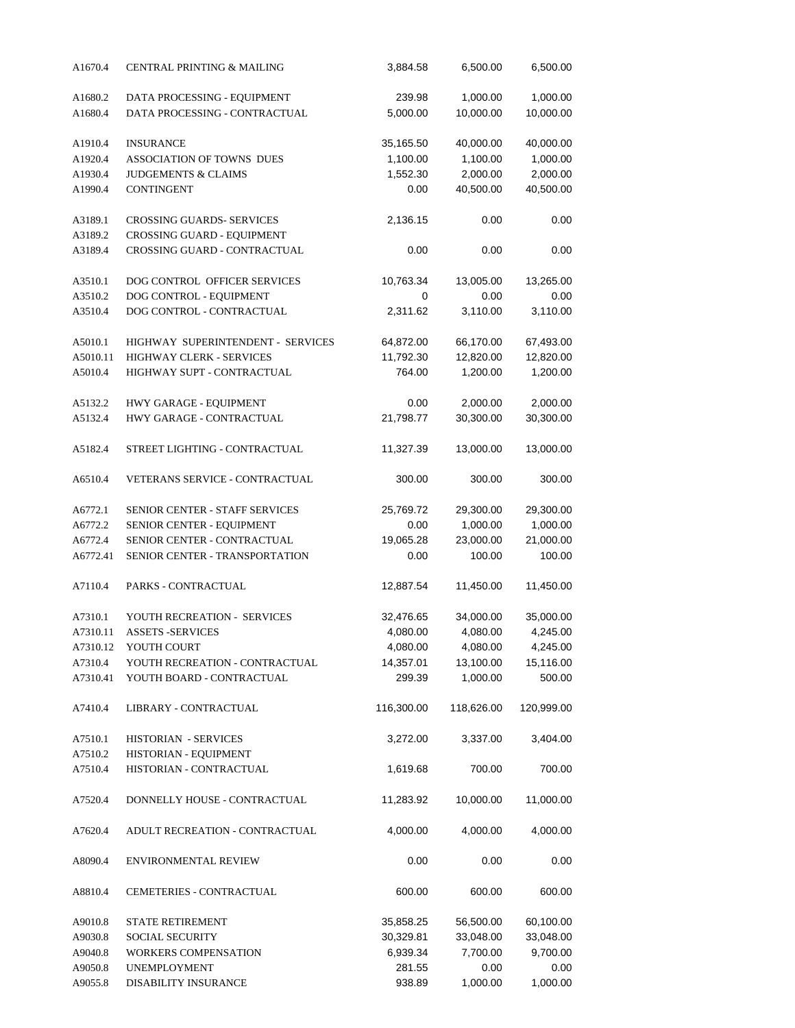| A1670.4            | CENTRAL PRINTING & MAILING                    | 3,884.58   | 6,500.00   | 6,500.00   |  |
|--------------------|-----------------------------------------------|------------|------------|------------|--|
| A1680.2            | DATA PROCESSING - EQUIPMENT                   | 239.98     | 1,000.00   | 1,000.00   |  |
| A1680.4            | DATA PROCESSING - CONTRACTUAL                 | 5,000.00   | 10,000.00  | 10,000.00  |  |
| A1910.4            | <b>INSURANCE</b>                              | 35,165.50  | 40,000.00  | 40,000.00  |  |
| A1920.4            | ASSOCIATION OF TOWNS DUES                     | 1,100.00   | 1,100.00   | 1,000.00   |  |
| A1930.4            | JUDGEMENTS & CLAIMS                           | 1,552.30   | 2,000.00   | 2,000.00   |  |
| A1990.4            | <b>CONTINGENT</b>                             | 0.00       | 40,500.00  | 40,500.00  |  |
| A3189.1            | <b>CROSSING GUARDS- SERVICES</b>              | 2,136.15   | 0.00       | 0.00       |  |
| A3189.2            | CROSSING GUARD - EQUIPMENT                    |            |            |            |  |
| A3189.4            | CROSSING GUARD - CONTRACTUAL                  | 0.00       | 0.00       | 0.00       |  |
| A3510.1            | DOG CONTROL OFFICER SERVICES                  | 10,763.34  | 13,005.00  | 13,265.00  |  |
| A3510.2            | DOG CONTROL - EQUIPMENT                       | 0          | 0.00       | 0.00       |  |
| A3510.4            | DOG CONTROL - CONTRACTUAL                     | 2,311.62   | 3,110.00   | 3,110.00   |  |
|                    |                                               |            |            |            |  |
| A5010.1            | HIGHWAY SUPERINTENDENT - SERVICES             | 64,872.00  | 66,170.00  | 67,493.00  |  |
| A5010.11           | <b>HIGHWAY CLERK - SERVICES</b>               | 11,792.30  | 12,820.00  | 12,820.00  |  |
| A5010.4            | HIGHWAY SUPT - CONTRACTUAL                    | 764.00     | 1,200.00   | 1,200.00   |  |
| A5132.2            | HWY GARAGE - EQUIPMENT                        | 0.00       | 2,000.00   | 2,000.00   |  |
| A5132.4            | HWY GARAGE - CONTRACTUAL                      | 21,798.77  | 30,300.00  | 30,300.00  |  |
| A5182.4            | STREET LIGHTING - CONTRACTUAL                 | 11,327.39  | 13,000.00  | 13,000.00  |  |
| A6510.4            | VETERANS SERVICE - CONTRACTUAL                | 300.00     | 300.00     | 300.00     |  |
| A6772.1            | <b>SENIOR CENTER - STAFF SERVICES</b>         | 25,769.72  | 29,300.00  | 29,300.00  |  |
| A6772.2            | SENIOR CENTER - EQUIPMENT                     | 0.00       | 1,000.00   | 1,000.00   |  |
| A6772.4            | SENIOR CENTER - CONTRACTUAL                   | 19,065.28  | 23,000.00  | 21,000.00  |  |
| A6772.41           | SENIOR CENTER - TRANSPORTATION                | 0.00       | 100.00     | 100.00     |  |
| A7110.4            | PARKS - CONTRACTUAL                           | 12,887.54  | 11,450.00  | 11,450.00  |  |
| A7310.1            | YOUTH RECREATION - SERVICES                   | 32,476.65  | 34,000.00  | 35,000.00  |  |
| A7310.11           | <b>ASSETS -SERVICES</b>                       | 4,080.00   | 4,080.00   | 4,245.00   |  |
| A7310.12           | YOUTH COURT                                   | 4,080.00   | 4,080.00   | 4,245.00   |  |
| A7310.4            | YOUTH RECREATION - CONTRACTUAL                | 14,357.01  | 13,100.00  | 15,116.00  |  |
| A7310.41           | YOUTH BOARD - CONTRACTUAL                     | 299.39     | 1,000.00   | 500.00     |  |
| A7410.4            | LIBRARY - CONTRACTUAL                         | 116,300.00 | 118,626.00 | 120,999.00 |  |
| A7510.1<br>A7510.2 | HISTORIAN - SERVICES<br>HISTORIAN - EQUIPMENT | 3,272.00   | 3,337.00   | 3,404.00   |  |
| A7510.4            | HISTORIAN - CONTRACTUAL                       | 1,619.68   | 700.00     | 700.00     |  |
| A7520.4            | DONNELLY HOUSE - CONTRACTUAL                  | 11,283.92  | 10,000.00  | 11,000.00  |  |
| A7620.4            | ADULT RECREATION - CONTRACTUAL                | 4,000.00   | 4,000.00   | 4,000.00   |  |
| A8090.4            | <b>ENVIRONMENTAL REVIEW</b>                   | 0.00       | 0.00       | 0.00       |  |
| A8810.4            | CEMETERIES - CONTRACTUAL                      | 600.00     | 600.00     | 600.00     |  |
| A9010.8            | STATE RETIREMENT                              | 35,858.25  | 56,500.00  | 60,100.00  |  |
| A9030.8            | <b>SOCIAL SECURITY</b>                        | 30,329.81  | 33,048.00  | 33,048.00  |  |
| A9040.8            | WORKERS COMPENSATION                          | 6,939.34   | 7,700.00   | 9,700.00   |  |
| A9050.8            | <b>UNEMPLOYMENT</b>                           | 281.55     | 0.00       | 0.00       |  |
| A9055.8            | DISABILITY INSURANCE                          | 938.89     | 1,000.00   | 1,000.00   |  |
|                    |                                               |            |            |            |  |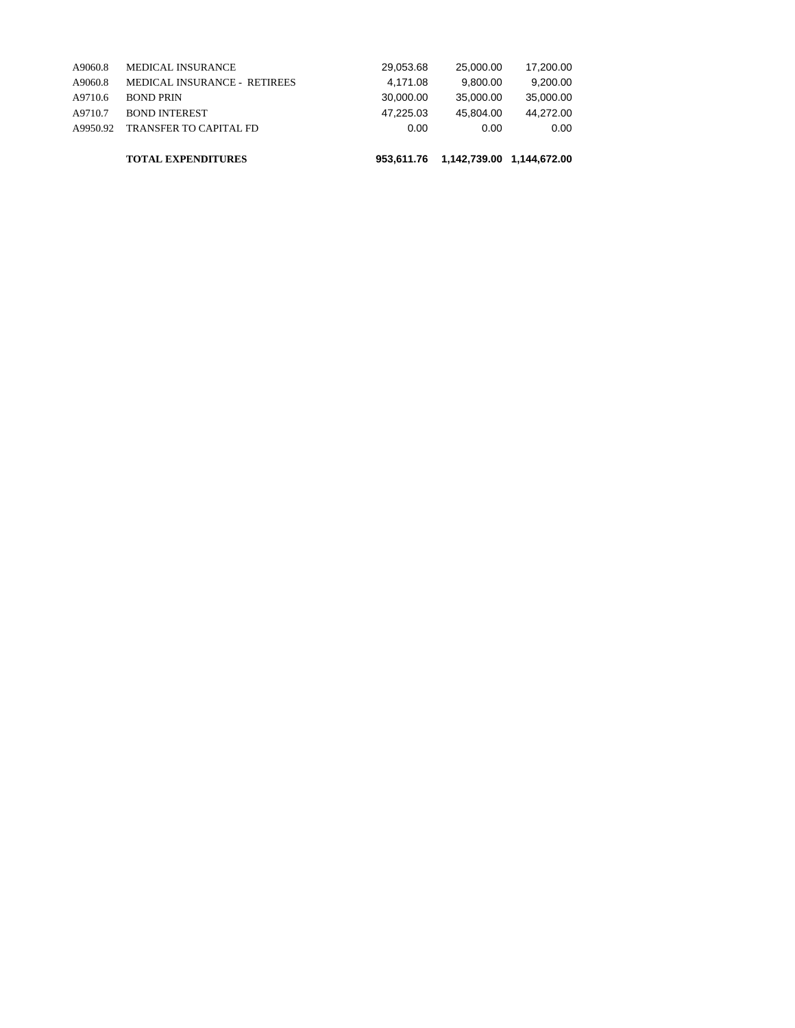|          | <b>TOTAL EXPENDITURES</b>     | 953.611.76 | 1,142,739.00 1,144,672.00 |           |
|----------|-------------------------------|------------|---------------------------|-----------|
| A9950.92 | <b>TRANSFER TO CAPITAL FD</b> | 0.00       | 0.00                      | 0.00      |
| A9710.7  | <b>BOND INTEREST</b>          | 47.225.03  | 45.804.00                 | 44.272.00 |
| A9710.6  | <b>BOND PRIN</b>              | 30,000,00  | 35,000,00                 | 35,000,00 |
| A9060.8  | MEDICAL INSURANCE - RETIREES  | 4.171.08   | 9.800.00                  | 9.200.00  |
| A9060.8  | <b>MEDICAL INSURANCE</b>      | 29.053.68  | 25,000,00                 | 17.200.00 |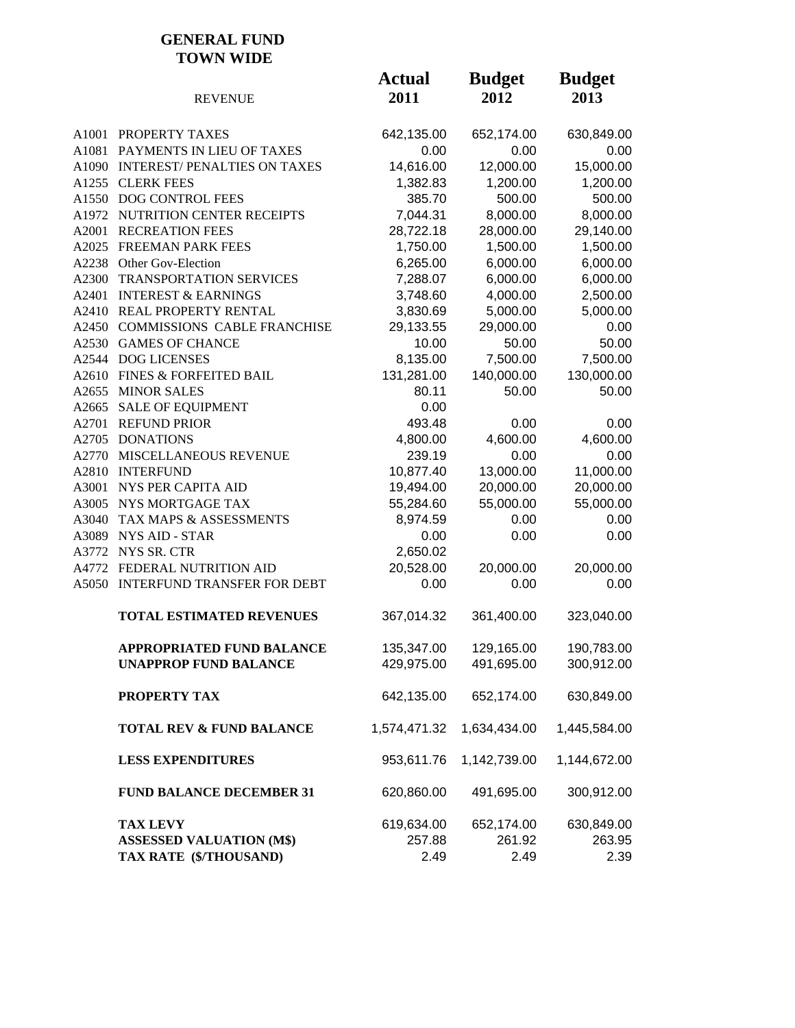#### **GENERAL FUND TOWN WIDE**

|       | <b>REVENUE</b>                      | <b>Actual</b><br>2011 | <b>Budget</b><br>2012 | <b>Budget</b><br>2013 |
|-------|-------------------------------------|-----------------------|-----------------------|-----------------------|
|       | A1001 PROPERTY TAXES                | 642,135.00            | 652,174.00            | 630,849.00            |
| A1081 | PAYMENTS IN LIEU OF TAXES           | 0.00                  | 0.00                  | 0.00                  |
|       | A1090 INTEREST/PENALTIES ON TAXES   | 14,616.00             | 12,000.00             | 15,000.00             |
|       | A1255 CLERK FEES                    | 1,382.83              | 1,200.00              | 1,200.00              |
|       | A1550 DOG CONTROL FEES              | 385.70                | 500.00                | 500.00                |
|       | A1972 NUTRITION CENTER RECEIPTS     | 7,044.31              | 8,000.00              | 8,000.00              |
| A2001 | <b>RECREATION FEES</b>              | 28,722.18             | 28,000.00             | 29,140.00             |
|       | A2025 FREEMAN PARK FEES             | 1,750.00              | 1,500.00              | 1,500.00              |
|       | A2238 Other Gov-Election            | 6,265.00              | 6,000.00              | 6,000.00              |
| A2300 | TRANSPORTATION SERVICES             | 7,288.07              | 6,000.00              | 6,000.00              |
| A2401 | <b>INTEREST &amp; EARNINGS</b>      | 3,748.60              | 4,000.00              | 2,500.00              |
|       | A2410 REAL PROPERTY RENTAL          | 3,830.69              | 5,000.00              | 5,000.00              |
|       | A2450 COMMISSIONS CABLE FRANCHISE   | 29,133.55             | 29,000.00             | 0.00                  |
|       | A2530 GAMES OF CHANCE               | 10.00                 | 50.00                 | 50.00                 |
|       | A2544 DOG LICENSES                  | 8,135.00              | 7,500.00              | 7,500.00              |
|       | A2610 FINES & FORFEITED BAIL        | 131,281.00            | 140,000.00            | 130,000.00            |
|       | A2655 MINOR SALES                   | 80.11                 | 50.00                 | 50.00                 |
| A2665 | <b>SALE OF EQUIPMENT</b>            | 0.00                  |                       |                       |
| A2701 | <b>REFUND PRIOR</b>                 | 493.48                | 0.00                  | 0.00                  |
|       | A2705 DONATIONS                     | 4,800.00              | 4,600.00              | 4,600.00              |
| A2770 | MISCELLANEOUS REVENUE               | 239.19                | 0.00                  | 0.00                  |
|       | A2810 INTERFUND                     | 10,877.40             | 13,000.00             | 11,000.00             |
| A3001 | NYS PER CAPITA AID                  | 19,494.00             | 20,000.00             | 20,000.00             |
|       | A3005 NYS MORTGAGE TAX              | 55,284.60             | 55,000.00             | 55,000.00             |
| A3040 | TAX MAPS & ASSESSMENTS              | 8,974.59              | 0.00                  | 0.00                  |
| A3089 | <b>NYS AID - STAR</b>               | 0.00                  | 0.00                  | 0.00                  |
|       | A3772 NYS SR. CTR                   | 2,650.02              |                       |                       |
|       | A4772 FEDERAL NUTRITION AID         | 20,528.00             | 20,000.00             | 20,000.00             |
|       | A5050 INTERFUND TRANSFER FOR DEBT   | 0.00                  | 0.00                  | 0.00                  |
|       | <b>TOTAL ESTIMATED REVENUES</b>     | 367,014.32            | 361,400.00            | 323,040.00            |
|       | APPROPRIATED FUND BALANCE           | 135,347.00            | 129,165.00            | 190,783.00            |
|       | <b>UNAPPROP FUND BALANCE</b>        | 429,975.00            | 491,695.00            | 300,912.00            |
|       | PROPERTY TAX                        | 642,135.00            | 652,174.00            | 630,849.00            |
|       | <b>TOTAL REV &amp; FUND BALANCE</b> | 1,574,471.32          | 1,634,434.00          | 1,445,584.00          |
|       | <b>LESS EXPENDITURES</b>            | 953,611.76            | 1,142,739.00          | 1,144,672.00          |
|       | <b>FUND BALANCE DECEMBER 31</b>     | 620,860.00            | 491,695.00            | 300,912.00            |
|       | <b>TAX LEVY</b>                     | 619,634.00            | 652,174.00            | 630,849.00            |
|       | <b>ASSESSED VALUATION (M\$)</b>     | 257.88                | 261.92                | 263.95                |
|       | TAX RATE (\$/THOUSAND)              | 2.49                  | 2.49                  | 2.39                  |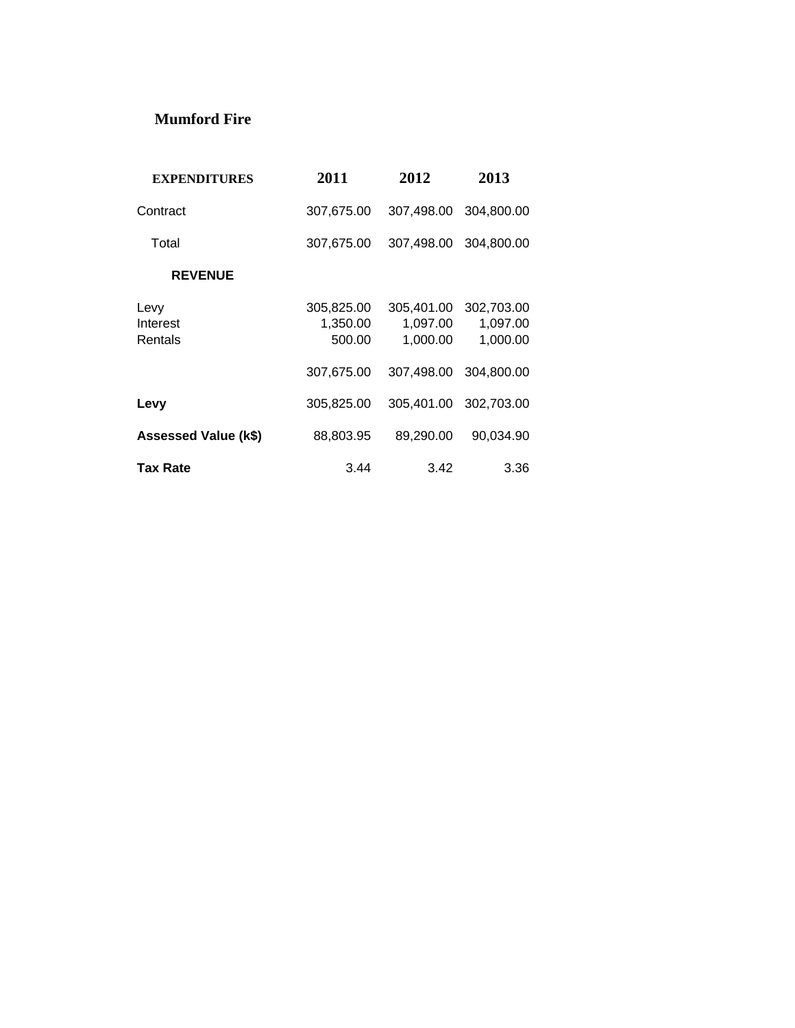#### **Mumford Fire**

| <b>EXPENDITURES</b>         | 2011                             | 2012                               | 2013                               |
|-----------------------------|----------------------------------|------------------------------------|------------------------------------|
| Contract                    | 307,675.00                       | 307.498.00                         | 304.800.00                         |
| Total                       | 307,675.00                       | 307,498.00                         | 304,800.00                         |
| <b>REVENUE</b>              |                                  |                                    |                                    |
| Levy<br>Interest<br>Rentals | 305,825.00<br>1,350.00<br>500.00 | 305,401.00<br>1,097.00<br>1,000.00 | 302,703.00<br>1,097.00<br>1,000.00 |
|                             | 307.675.00                       | 307.498.00                         | 304.800.00                         |
| Levy                        | 305,825.00                       | 305,401.00                         | 302,703.00                         |
| <b>Assessed Value (k\$)</b> | 88,803.95                        | 89,290.00                          | 90,034.90                          |
| <b>Tax Rate</b>             | 3.44                             | 3.42                               | 3.36                               |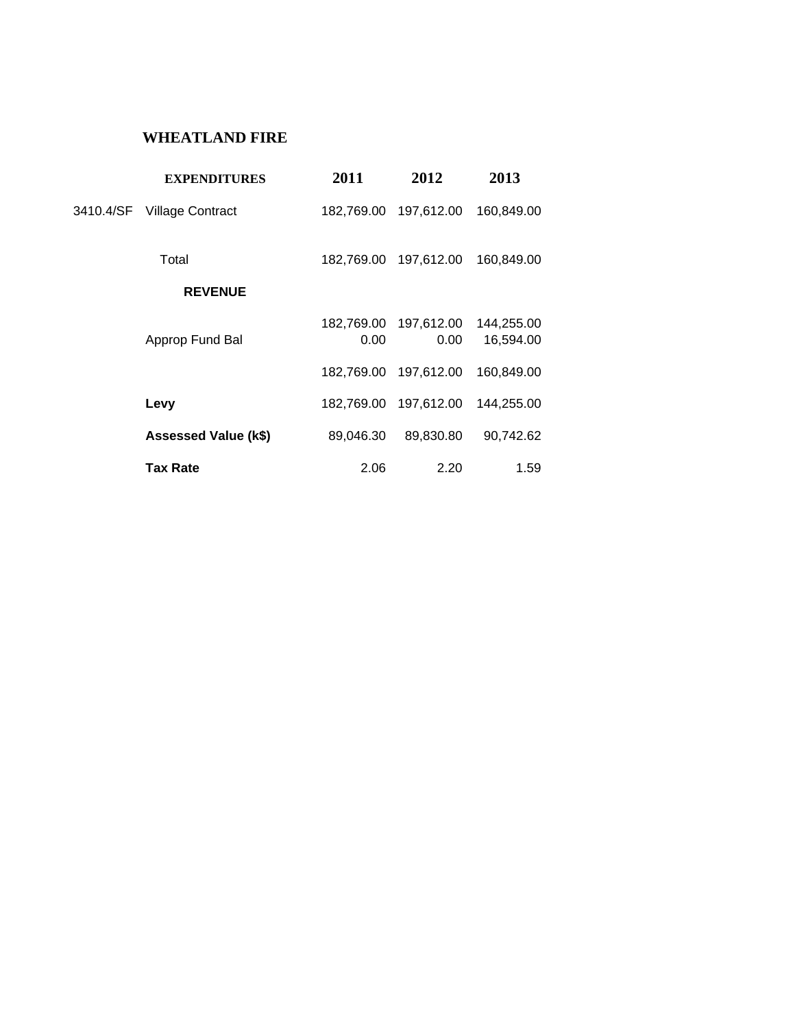### **WHEATLAND FIRE**

|           | <b>EXPENDITURES</b>     | 2011               | 2012               | 2013                    |
|-----------|-------------------------|--------------------|--------------------|-------------------------|
| 3410.4/SF | <b>Village Contract</b> | 182,769.00         | 197,612.00         | 160,849.00              |
|           | Total                   | 182,769.00         | 197,612.00         | 160,849.00              |
|           | <b>REVENUE</b>          |                    |                    |                         |
|           | Approp Fund Bal         | 182,769.00<br>0.00 | 197,612.00<br>0.00 | 144,255.00<br>16,594.00 |
|           |                         | 182,769.00         | 197,612.00         | 160,849.00              |
|           | Levy                    | 182,769.00         | 197,612.00         | 144,255.00              |
|           | Assessed Value (k\$)    | 89,046.30          | 89,830.80          | 90,742.62               |
|           | Tax Rate                | 2.06               | 2.20               | 1.59                    |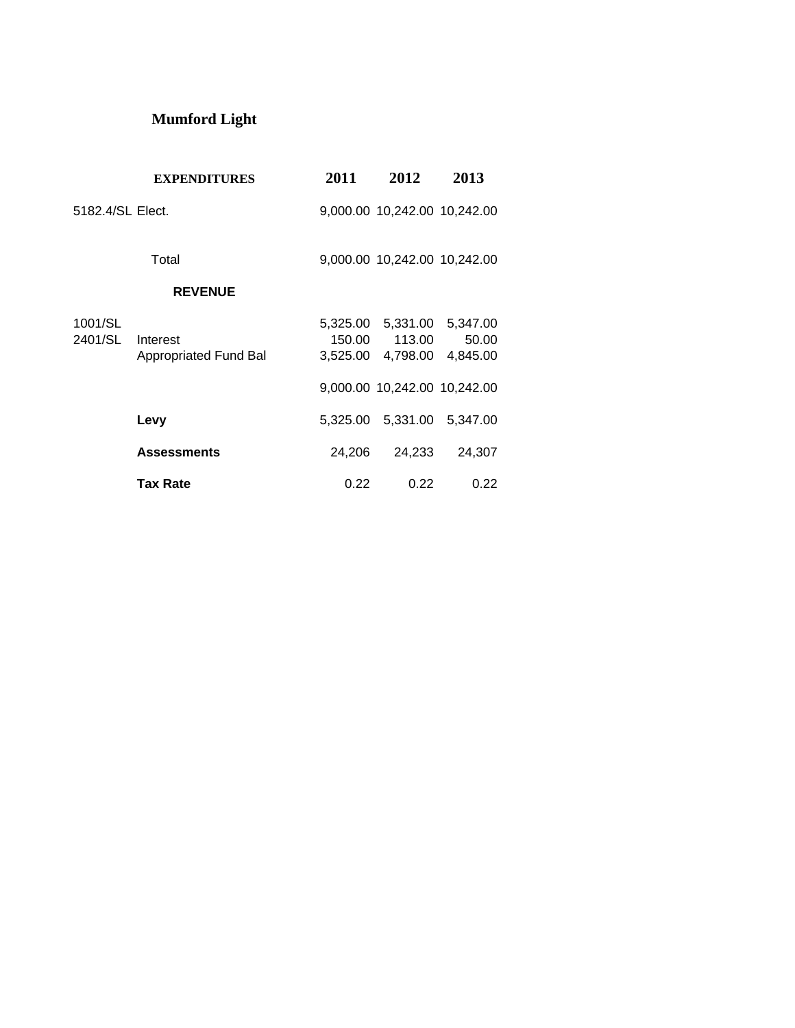# **Mumford Light**

|                    | <b>EXPENDITURES</b>               | 2011               | 2012                                             | 2013              |
|--------------------|-----------------------------------|--------------------|--------------------------------------------------|-------------------|
| 5182.4/SL Elect.   |                                   |                    | 9,000.00 10,242.00 10,242.00                     |                   |
|                    | Total                             |                    | 9,000.00 10,242.00 10,242.00                     |                   |
|                    | <b>REVENUE</b>                    |                    |                                                  |                   |
| 1001/SL<br>2401/SL | Interest<br>Appropriated Fund Bal | 150.00<br>3,525.00 | 5,325.00 5,331.00 5,347.00<br>113.00<br>4,798.00 | 50.00<br>4,845.00 |
|                    |                                   |                    | 9,000.00 10,242.00 10,242.00                     |                   |
|                    | Levy                              |                    | 5,325.00 5,331.00 5,347.00                       |                   |
|                    | <b>Assessments</b>                | 24,206             | 24,233                                           | 24,307            |
|                    | <b>Tax Rate</b>                   | 0.22               | 0.22                                             | 0.22              |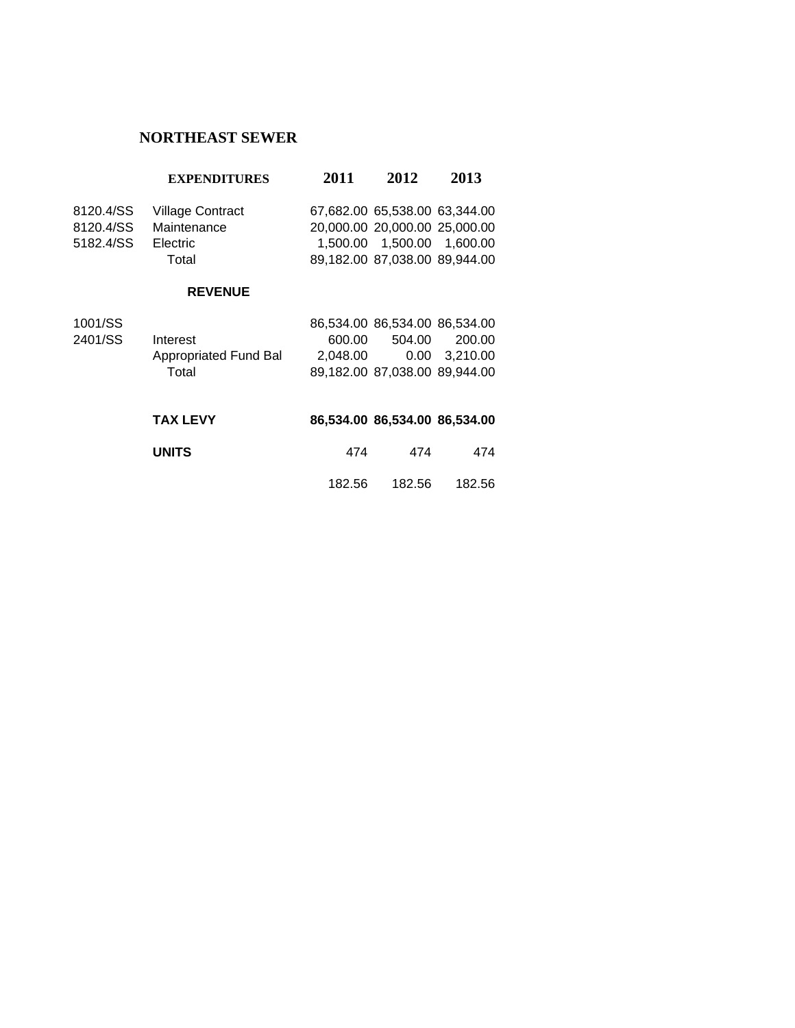# **NORTHEAST SEWER**

|           | <b>EXPENDITURES</b>     | 2011 | 2012                          | 2013 |
|-----------|-------------------------|------|-------------------------------|------|
| 8120.4/SS | <b>Village Contract</b> |      | 67,682.00 65,538.00 63,344.00 |      |
| 8120.4/SS | Maintenance             |      | 20,000.00 20,000.00 25,000.00 |      |
| 5182.4/SS | Electric                |      | 1,500.00  1,500.00  1,600.00  |      |
|           | Total                   |      | 89,182.00 87,038.00 89,944.00 |      |
|           | <b>REVENUE</b>          |      |                               |      |
| 1001/00   |                         |      | 00.52100.00.52100.00.52100    |      |

| 1001/SS |                       | 86.534.00 86.534.00 86.534.00 |        |               |
|---------|-----------------------|-------------------------------|--------|---------------|
| 2401/SS | Interest              | 600.00                        | 504.00 | 200.00        |
|         | Appropriated Fund Bal | 2.048.00                      |        | 0.00 3.210.00 |
|         | Total                 | 89,182.00 87,038.00 89,944.00 |        |               |
|         |                       |                               |        |               |

| <b>TAX LEVY</b> |        |        | 86,534.00 86,534.00 86,534.00 |
|-----------------|--------|--------|-------------------------------|
| <b>UNITS</b>    | 474    | 474    | 474                           |
|                 | 182.56 | 182.56 | 182.56                        |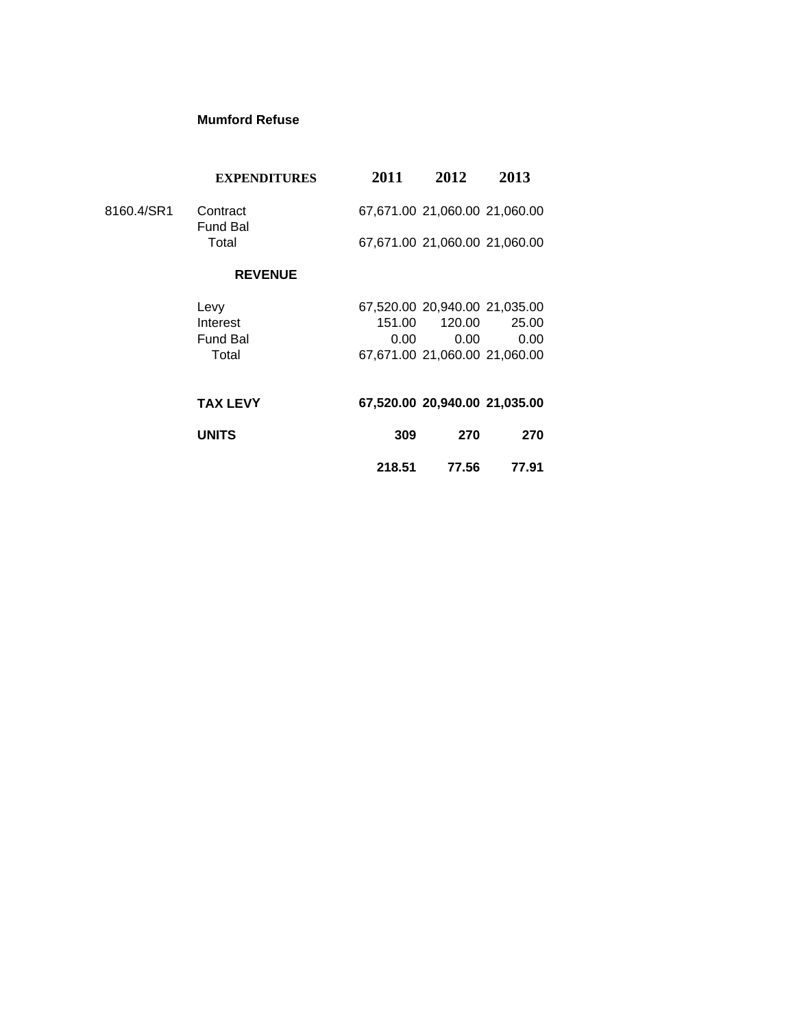#### **Mumford Refuse**

|            | <b>EXPENDITURES</b>         | 2011   | 2012                          | 2013  |
|------------|-----------------------------|--------|-------------------------------|-------|
| 8160.4/SR1 | Contract<br><b>Fund Bal</b> |        | 67,671.00 21,060.00 21,060.00 |       |
|            | Total                       |        | 67,671.00 21,060.00 21,060.00 |       |
|            | <b>REVENUE</b>              |        |                               |       |
|            | Levy                        |        | 67,520.00 20,940.00 21,035.00 |       |
|            | Interest                    | 151.00 | 120.00                        | 25.00 |
|            | <b>Fund Bal</b>             | 0.00   | 0.00                          | 0.00  |
|            | Total                       |        | 67,671.00 21,060.00 21,060.00 |       |
|            | <b>TAX LEVY</b>             |        | 67,520.00 20,940.00 21,035.00 |       |
|            | <b>UNITS</b>                | 309    | 270                           | 270   |
|            |                             | 218.51 | 77.56                         | 77.91 |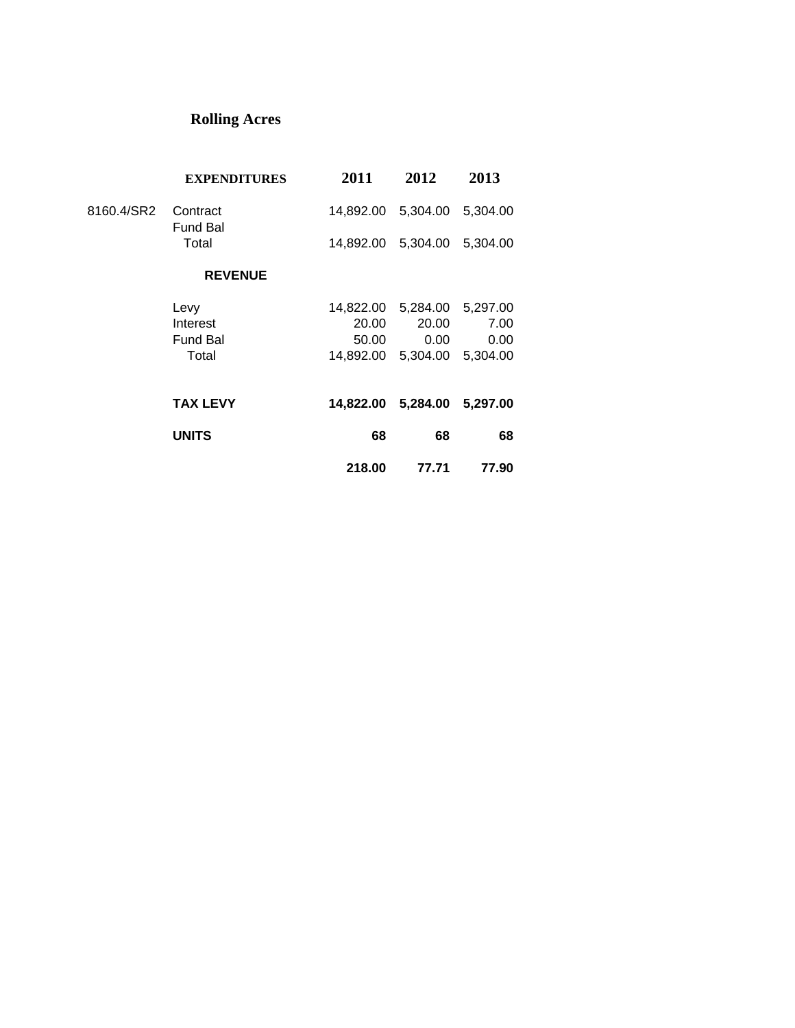# **Rolling Acres**

|            | <b>EXPENDITURES</b>         | 2011                        | 2012     | 2013              |
|------------|-----------------------------|-----------------------------|----------|-------------------|
| 8160.4/SR2 | Contract<br><b>Fund Bal</b> | 14,892.00 5,304.00          |          | 5,304.00          |
|            | Total                       | 14,892.00 5,304.00 5,304.00 |          |                   |
|            | <b>REVENUE</b>              |                             |          |                   |
|            | Levy                        | 14,822.00                   | 5,284.00 | 5,297.00          |
|            | Interest                    | 20.00                       | 20.00    | 7.00              |
|            | <b>Fund Bal</b>             | 50.00                       | 0.00     | 0.00              |
|            | Total                       | 14,892.00                   |          | 5,304.00 5,304.00 |
|            | <b>TAX LEVY</b>             | 14,822.00 5,284.00 5,297.00 |          |                   |
|            | <b>UNITS</b>                | 68                          | 68       | 68                |
|            |                             | 218.00                      | 77.71    | 77.90             |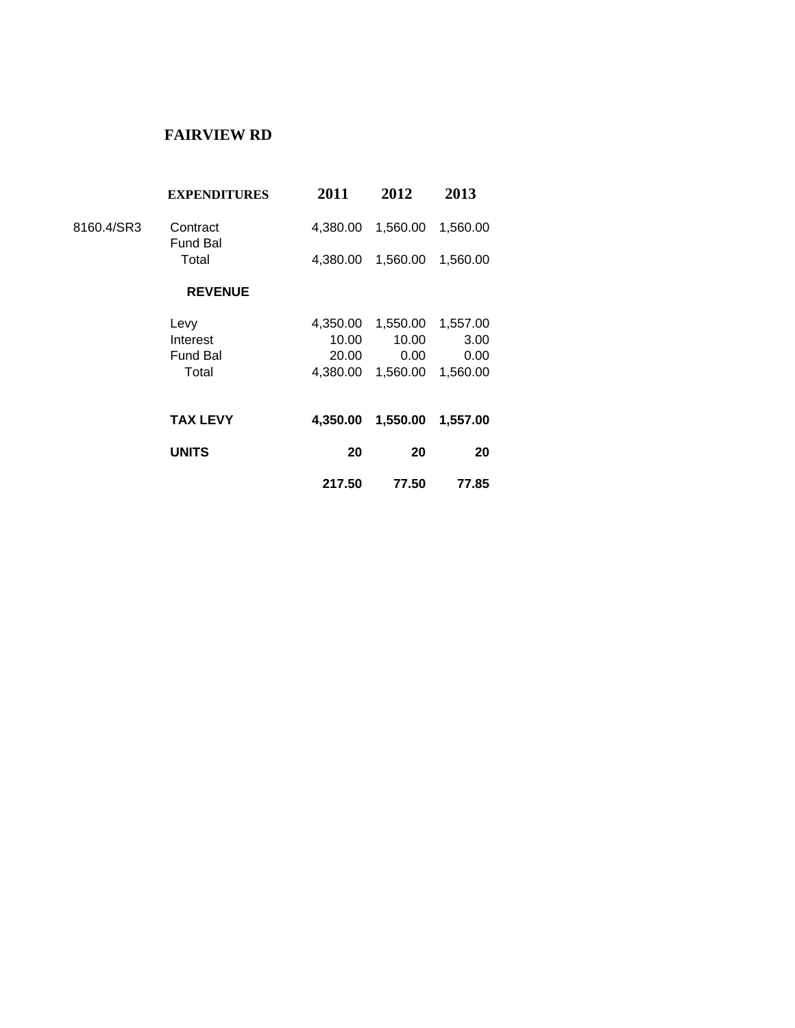### **FAIRVIEW RD**

| <b>EXPENDITURES</b> | 2011            | 2012     | 2013     |  |
|---------------------|-----------------|----------|----------|--|
| Contract            | 4,380.00        | 1,560.00 | 1,560.00 |  |
| Total               | 4,380.00        | 1,560.00 | 1,560.00 |  |
| <b>REVENUE</b>      |                 |          |          |  |
| Levy                | 4,350.00        |          | 1,557.00 |  |
| Interest            | 10.00           | 10.00    | 3.00     |  |
| <b>Fund Bal</b>     | 20.00           | 0.00     | 0.00     |  |
| Total               | 4.380.00        | 1,560.00 | 1,560.00 |  |
| <b>TAX LEVY</b>     | 4,350.00        | 1,550.00 | 1,557.00 |  |
| <b>UNITS</b>        | 20              | 20       | 20       |  |
|                     | 217.50          | 77.50    | 77.85    |  |
|                     | <b>Fund Bal</b> |          | 1,550.00 |  |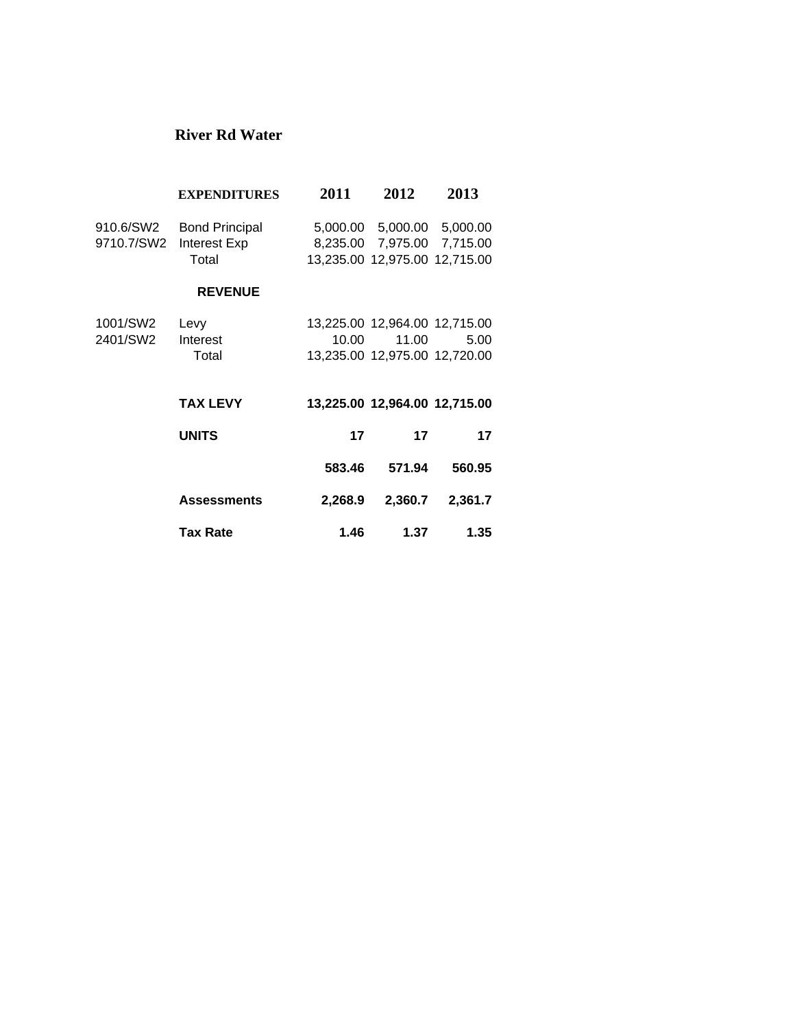#### **River Rd Water**

|            | <b>EXPENDITURES</b>   | 2011    | 2012                                               | 2013     |
|------------|-----------------------|---------|----------------------------------------------------|----------|
| 910.6/SW2  | <b>Bond Principal</b> |         | 5,000.00 5,000.00 5,000.00                         |          |
| 9710.7/SW2 | Interest Exp<br>Total |         | 8,235.00 7,975.00<br>13,235.00 12,975.00 12,715.00 | 7,715.00 |
|            | <b>REVENUE</b>        |         |                                                    |          |
| 1001/SW2   | Levy                  |         | 13,225.00 12,964.00 12,715.00                      |          |
| 2401/SW2   | Interest              | 10.00   | 11.00                                              | 5.00     |
|            | Total                 |         | 13,235.00 12,975.00 12,720.00                      |          |
|            | <b>TAX LEVY</b>       |         | 13,225.00 12,964.00 12,715.00                      |          |
|            | <b>UNITS</b>          | 17      | 17                                                 | 17       |
|            |                       | 583.46  | 571.94                                             | 560.95   |
|            | <b>Assessments</b>    | 2,268.9 | 2,360.7                                            | 2,361.7  |
|            | <b>Tax Rate</b>       | 1.46    | 1.37                                               | 1.35     |